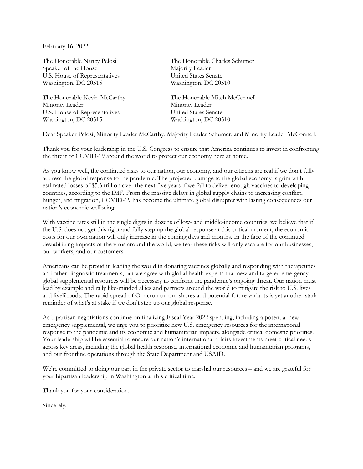February 16, 2022

Speaker of the House Majority Leader U.S. House of Representatives United States Senate Washington, DC 20515 Washington, DC 20510

Minority Leader Minority Leader U.S. House of Representatives United States Senate Washington, DC 20515 Washington, DC 20510

The Honorable Nancy Pelosi The Honorable Charles Schumer

The Honorable Kevin McCarthy The Honorable Mitch McConnell

Dear Speaker Pelosi, Minority Leader McCarthy, Majority Leader Schumer, and Minority Leader McConnell,

Thank you for your leadership in the U.S. Congress to ensure that America continues to invest in confronting the threat of COVID-19 around the world to protect our economy here at home.

As you know well, the continued risks to our nation, our economy, and our citizens are real if we don't fully address the global response to the pandemic. The projected damage to the global economy is grim with estimated losses of \$5.3 trillion over the next five years if we fail to deliver enough vaccines to developing countries, according to the IMF. From the massive delays in global supply chains to increasing conflict, hunger, and migration, COVID-19 has become the ultimate global disrupter with lasting consequences our nation's economic wellbeing.

With vaccine rates still in the single digits in dozens of low- and middle-income countries, we believe that if the U.S. does not get this right and fully step up the global response at this critical moment, the economic costs for our own nation will only increase in the coming days and months. In the face of the continued destabilizing impacts of the virus around the world, we fear these risks will only escalate for our businesses, our workers, and our customers.

Americans can be proud in leading the world in donating vaccines globally and responding with therapeutics and other diagnostic treatments, but we agree with global health experts that new and targeted emergency global supplemental resources will be necessary to confront the pandemic's ongoing threat. Our nation must lead by example and rally like-minded allies and partners around the world to mitigate the risk to U.S. lives and livelihoods. The rapid spread of Omicron on our shores and potential future variants is yet another stark reminder of what's at stake if we don't step up our global response.

As bipartisan negotiations continue on finalizing Fiscal Year 2022 spending, including a potential new emergency supplemental, we urge you to prioritize new U.S. emergency resources for the international response to the pandemic and its economic and humanitarian impacts, alongside critical domestic priorities. Your leadership will be essential to ensure our nation's international affairs investments meet critical needs across key areas, including the global health response, international economic and humanitarian programs, and our frontline operations through the State Department and USAID.

We're committed to doing our part in the private sector to marshal our resources – and we are grateful for your bipartisan leadership in Washington at this critical time.

Thank you for your consideration.

Sincerely,